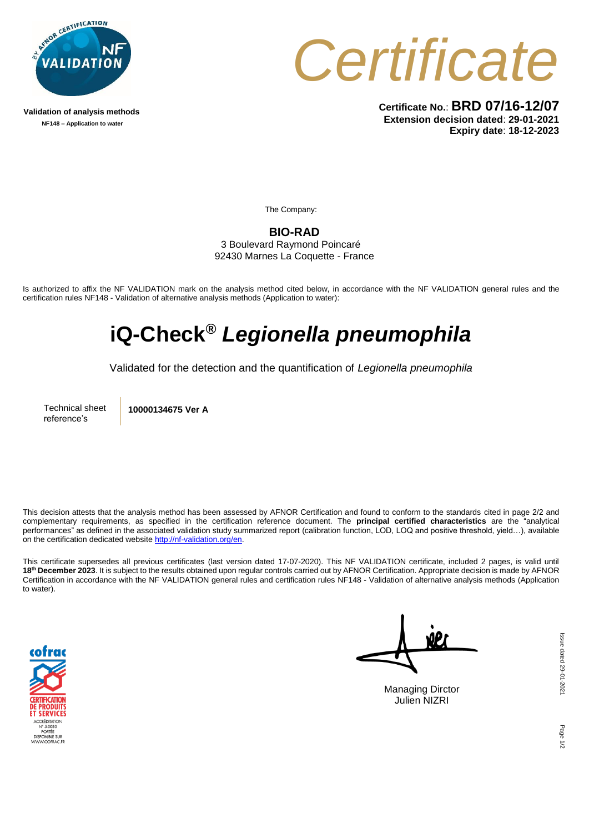

**Validation of analysis methods NF148 – Application to water**



**Certificate No.**: **BRD 07/16-12/07 Extension decision dated**: **29-01-2021 Expiry date**: **18-12-2023**

The Company:

**BIO-RAD** 3 Boulevard Raymond Poincaré 92430 Marnes La Coquette - France

Is authorized to affix the NF VALIDATION mark on the analysis method cited below, in accordance with the NF VALIDATION general rules and the certification rules NF148 - Validation of alternative analysis methods (Application to water):

## **iQ-Check®** *Legionella pneumophila*

Validated for the detection and the quantification of *Legionella pneumophila*

Technical sheet reference's

**10000134675 Ver A**

This decision attests that the analysis method has been assessed by AFNOR Certification and found to conform to the standards cited in page 2/2 and complementary requirements, as specified in the certification reference document. The **principal certified characteristics** are the "analytical performances" as defined in the associated validation study summarized report (calibration function, LOD, LOQ and positive threshold, yield…), available on the certification dedicated websit[e http://nf-validation.org/en.](http://nf-validation.org/en)

This certificate supersedes all previous certificates (last version dated 17-07-2020). This NF VALIDATION certificate, included 2 pages, is valid until **18th December 2023**. It is subject to the results obtained upon regular controls carried out by AFNOR Certification. Appropriate decision is made by AFNOR Certification in accordance with the NF VALIDATION general rules and certification rules NF148 - Validation of alternative analysis methods (Application to water).



Managing Dirctor Julien NIZRI

Page 1/2